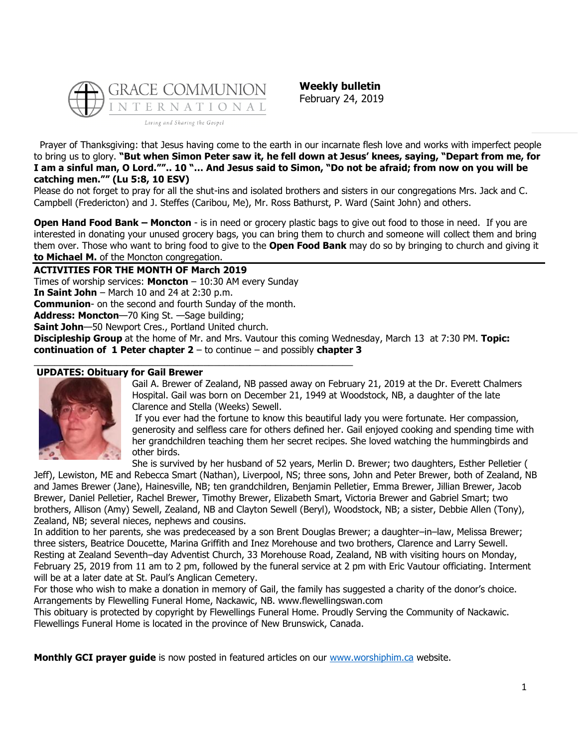

**Weekly bulletin** February 24, 2019

Prayer of Thanksgiving: that Jesus having come to the earth in our incarnate flesh love and works with imperfect people to bring us to glory. **"But when Simon Peter saw it, he fell down at Jesus' knees, saying, "Depart from me, for I am a sinful man, O Lord."".. 10 "… And Jesus said to Simon, "Do not be afraid; from now on you will be catching men."" (Lu 5:8, 10 ESV)**

Please do not forget to pray for all the shut-ins and isolated brothers and sisters in our congregations Mrs. Jack and C. Campbell (Fredericton) and J. Steffes (Caribou, Me), Mr. Ross Bathurst, P. Ward (Saint John) and others.

**Open Hand Food Bank – Moncton** - is in need or grocery plastic bags to give out food to those in need. If you are interested in donating your unused grocery bags, you can bring them to church and someone will collect them and bring them over. Those who want to bring food to give to the **Open Food Bank** may do so by bringing to church and giving it **to Michael M.** of the Moncton congregation.

**ACTIVITIES FOR THE MONTH OF March 2019**

Times of worship services: **Moncton** – 10:30 AM every Sunday

**In Saint John** – March 10 and 24 at 2:30 p.m.

**Communion**- on the second and fourth Sunday of the month.

\_\_\_\_\_\_\_\_\_\_\_\_\_\_\_\_\_\_\_\_\_\_\_\_\_\_\_\_\_\_\_\_\_\_\_\_\_\_\_\_\_\_\_\_\_\_\_\_\_\_\_\_\_\_\_\_\_\_\_\_\_\_

**Address: Moncton**—70 King St. —Sage building;

**Saint John**—50 Newport Cres., Portland United church.

**Discipleship Group** at the home of Mr. and Mrs. Vautour this coming Wednesday, March 13 at 7:30 PM. **Topic: continuation of 1 Peter chapter 2** – to continue – and possibly **chapter 3**

#### **UPDATES: Obituary for Gail Brewer**



Gail A. Brewer of Zealand, NB passed away on February 21, 2019 at the Dr. Everett Chalmers Hospital. Gail was born on December 21, 1949 at Woodstock, NB, a daughter of the late Clarence and Stella (Weeks) Sewell.

If you ever had the fortune to know this beautiful lady you were fortunate. Her compassion, generosity and selfless care for others defined her. Gail enjoyed cooking and spending time with her grandchildren teaching them her secret recipes. She loved watching the hummingbirds and other birds.

She is survived by her husband of 52 years, Merlin D. Brewer; two daughters, Esther Pelletier ( Jeff), Lewiston, ME and Rebecca Smart (Nathan), Liverpool, NS; three sons, John and Peter Brewer, both of Zealand, NB and James Brewer (Jane), Hainesville, NB; ten grandchildren, Benjamin Pelletier, Emma Brewer, Jillian Brewer, Jacob Brewer, Daniel Pelletier, Rachel Brewer, Timothy Brewer, Elizabeth Smart, Victoria Brewer and Gabriel Smart; two brothers, Allison (Amy) Sewell, Zealand, NB and Clayton Sewell (Beryl), Woodstock, NB; a sister, Debbie Allen (Tony), Zealand, NB; several nieces, nephews and cousins.

In addition to her parents, she was predeceased by a son Brent Douglas Brewer; a daughter–in–law, Melissa Brewer; three sisters, Beatrice Doucette, Marina Griffith and Inez Morehouse and two brothers, Clarence and Larry Sewell. Resting at Zealand Seventh–day Adventist Church, 33 Morehouse Road, Zealand, NB with visiting hours on Monday, February 25, 2019 from 11 am to 2 pm, followed by the funeral service at 2 pm with Eric Vautour officiating. Interment will be at a later date at St. Paul's Anglican Cemetery.

For those who wish to make a donation in memory of Gail, the family has suggested a charity of the donor's choice. Arrangements by Flewelling Funeral Home, Nackawic, NB. www.flewellingswan.com

This obituary is protected by copyright by Flewellings Funeral Home. Proudly Serving the Community of Nackawic. Flewellings Funeral Home is located in the province of New Brunswick, Canada.

**Monthly GCI prayer guide** is now posted in featured articles on our [www.worshiphim.ca](http://www.worshiphim.ca/) website.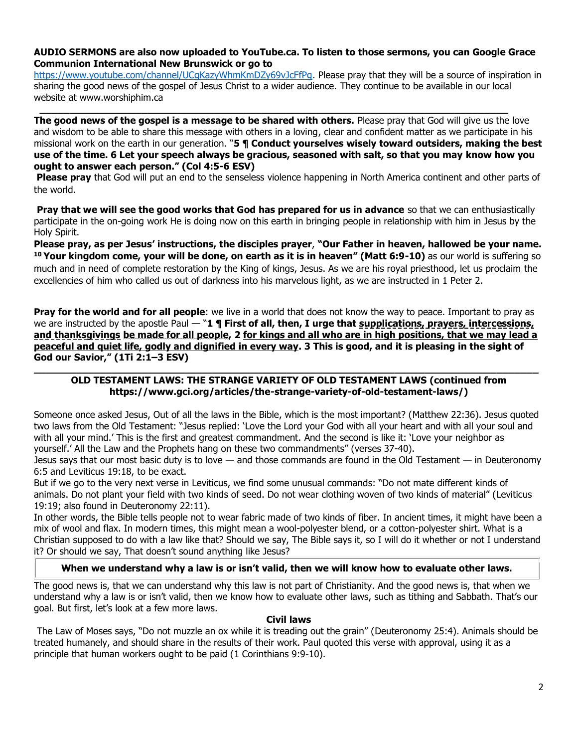#### **AUDIO SERMONS are also now uploaded to YouTube.ca. To listen to those sermons, you can Google Grace Communion International New Brunswick or go to**

https://www.youtube.com/channel/UCqKazyWhmKmDZy69vJcFfPq. Please pray that they will be a source of inspiration in sharing the good news of the gospel of Jesus Christ to a wider audience. They continue to be available in our local website at www.worshiphim.ca

**\_\_\_\_\_\_\_\_\_\_\_\_\_\_\_\_\_\_\_\_\_\_\_\_\_\_\_\_\_\_\_\_\_\_\_\_\_\_\_\_\_\_\_\_\_\_\_\_\_\_\_\_\_\_\_\_\_\_\_\_\_\_\_\_\_\_\_\_\_\_\_\_\_\_\_\_\_\_**

**The good news of the gospel is a message to be shared with others.** Please pray that God will give us the love and wisdom to be able to share this message with others in a loving, clear and confident matter as we participate in his missional work on the earth in our generation. "**5 ¶ Conduct yourselves wisely toward outsiders, making the best use of the time. 6 Let your speech always be gracious, seasoned with salt, so that you may know how you ought to answer each person." (Col 4:5-6 ESV)**

**Please pray** that God will put an end to the senseless violence happening in North America continent and other parts of the world.

**Pray that we will see the good works that God has prepared for us in advance** so that we can enthusiastically participate in the on-going work He is doing now on this earth in bringing people in relationship with him in Jesus by the Holy Spirit.

**Please pray, as per Jesus' instructions, the disciples prayer**, **"Our Father in heaven, hallowed be your name. <sup>10</sup> Your kingdom come, your will be done, on earth as it is in heaven" (Matt 6:9-10)** as our world is suffering so much and in need of complete restoration by the King of kings, Jesus. As we are his royal priesthood, let us proclaim the excellencies of him who called us out of darkness into his marvelous light, as we are instructed in 1 Peter 2.

**Pray for the world and for all people**: we live in a world that does not know the way to peace. Important to pray as we are instructed by the apostle Paul — "**1 ¶ First of all, then, I urge that supplications, prayers, intercessions, and thanksgivings be made for all people, 2 for kings and all who are in high positions, that we may lead a peaceful and quiet life, godly and dignified in every way. 3 This is good, and it is pleasing in the sight of God our Savior," (1Ti 2:1–3 ESV) \_\_\_\_\_\_\_\_\_\_\_\_\_\_\_\_\_\_\_\_\_\_\_\_\_\_\_\_\_\_\_\_\_\_\_\_\_\_\_\_\_\_\_\_\_\_\_\_\_\_\_\_\_\_\_\_\_\_\_\_\_\_\_\_\_\_\_\_\_\_\_\_\_\_\_\_\_\_\_\_\_\_\_\_**

### **OLD TESTAMENT LAWS: THE STRANGE VARIETY OF OLD TESTAMENT LAWS (continued from https://www.gci.org/articles/the-strange-variety-of-old-testament-laws/)**

Someone once asked Jesus, Out of all the laws in the Bible, which is the most important? [\(Matthew 22:36\)](https://biblia.com/bible/niv/Matt%2022.36). Jesus quoted two laws from the Old Testament: "Jesus replied: 'Love the Lord your God with all your heart and with all your soul and with all your mind.' This is the first and greatest commandment. And the second is like it: 'Love your neighbor as yourself.' All the Law and the Prophets hang on these two commandments" (verses 37-40).

Jesus says that our most basic duty is to love — and those commands are found in the Old Testament — in [Deuteronomy](https://biblia.com/bible/niv/Deut%206.5)  [6:5](https://biblia.com/bible/niv/Deut%206.5) and [Leviticus 19:18,](https://biblia.com/bible/niv/Lev%2019.18) to be exact.

But if we go to the very next verse in Leviticus, we find some unusual commands: "Do not mate different kinds of animals. Do not plant your field with two kinds of seed. Do not wear clothing woven of two kinds of material" ([Leviticus](https://biblia.com/bible/niv/Lev%2019.19)  [19:19;](https://biblia.com/bible/niv/Lev%2019.19) also found in [Deuteronomy 22:11\)](https://biblia.com/bible/niv/Deut%2022.11).

In other words, the Bible tells people not to wear fabric made of two kinds of fiber. In ancient times, it might have been a mix of wool and flax. In modern times, this might mean a wool-polyester blend, or a cotton-polyester shirt. What is a Christian supposed to do with a law like that? Should we say, The Bible says it, so I will do it whether or not I understand it? Or should we say, That doesn't sound anything like Jesus?

## **When we understand why a law is or isn't valid, then we will know how to evaluate other laws.**

The good news is, that we can understand why this law is not part of Christianity. And the good news is, that when we understand why a law is or isn't valid, then we know how to evaluate other laws, such as tithing and Sabbath. That's our goal. But first, let's look at a few more laws.

### **Civil laws**

The Law of Moses says, "Do not muzzle an ox while it is treading out the grain" ([Deuteronomy 25:4\)](https://biblia.com/bible/niv/Deut%2025.4). Animals should be treated humanely, and should share in the results of their work. Paul quoted this verse with approval, using it as a principle that human workers ought to be paid [\(1 Corinthians 9:9-10\)](https://biblia.com/bible/niv/1%20Cor%209.9-10).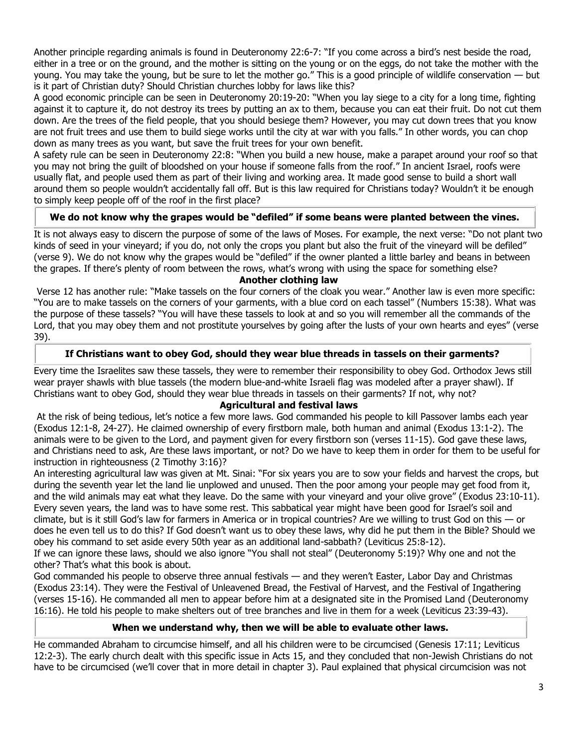Another principle regarding animals is found in [Deuteronomy 22:6-7](https://biblia.com/bible/niv/Deut%2022.6-7): "If you come across a bird's nest beside the road, either in a tree or on the ground, and the mother is sitting on the young or on the eggs, do not take the mother with the young. You may take the young, but be sure to let the mother go." This is a good principle of wildlife conservation — but is it part of Christian duty? Should Christian churches lobby for laws like this?

A good economic principle can be seen in [Deuteronomy 20:19-20](https://biblia.com/bible/niv/Deut%2020.19-20): "When you lay siege to a city for a long time, fighting against it to capture it, do not destroy its trees by putting an ax to them, because you can eat their fruit. Do not cut them down. Are the trees of the field people, that you should besiege them? However, you may cut down trees that you know are not fruit trees and use them to build siege works until the city at war with you falls." In other words, you can chop down as many trees as you want, but save the fruit trees for your own benefit.

A safety rule can be seen in [Deuteronomy 22:8](https://biblia.com/bible/niv/Deut%2022.8): "When you build a new house, make a parapet around your roof so that you may not bring the guilt of bloodshed on your house if someone falls from the roof." In ancient Israel, roofs were usually flat, and people used them as part of their living and working area. It made good sense to build a short wall around them so people wouldn't accidentally fall off. But is this law required for Christians today? Wouldn't it be enough to simply keep people off of the roof in the first place?

## **We do not know why the grapes would be "defiled" if some beans were planted between the vines.**

It is not always easy to discern the purpose of some of the laws of Moses. For example, the next verse: "Do not plant two kinds of seed in your vineyard; if you do, not only the crops you plant but also the fruit of the vineyard will be defiled" (verse 9). We do not know why the grapes would be "defiled" if the owner planted a little barley and beans in between the grapes. If there's plenty of room between the rows, what's wrong with using the space for something else?

### **Another clothing law**

Verse 12 has another rule: "Make tassels on the four corners of the cloak you wear." Another law is even more specific: "You are to make tassels on the corners of your garments, with a blue cord on each tassel" ([Numbers 15:38\)](https://biblia.com/bible/niv/Num%2015.38). What was the purpose of these tassels? "You will have these tassels to look at and so you will remember all the commands of the Lord, that you may obey them and not prostitute yourselves by going after the lusts of your own hearts and eyes" (verse 39).

### **If Christians want to obey God, should they wear blue threads in tassels on their garments?**

Every time the Israelites saw these tassels, they were to remember their responsibility to obey God. Orthodox Jews still wear prayer shawls with blue tassels (the modern blue-and-white Israeli flag was modeled after a prayer shawl). If Christians want to obey God, should they wear blue threads in tassels on their garments? If not, why not?

## **Agricultural and festival laws**

At the risk of being tedious, let's notice a few more laws. God commanded his people to kill Passover lambs each year [\(Exodus 12:1-8,](https://biblia.com/bible/niv/Exod%2012.1-8) [24-27\)](https://biblia.com/bible/niv/Exodus%2012.24-27). He claimed ownership of every firstborn male, both human and animal [\(Exodus 13:1-2\)](https://biblia.com/bible/niv/Exod%2013.1-2). The animals were to be given to the Lord, and payment given for every firstborn son (verses 11-15). God gave these laws, and Christians need to ask, Are these laws important, or not? Do we have to keep them in order for them to be useful for instruction in righteousness [\(2 Timothy 3:16\)](https://biblia.com/bible/niv/2%20Tim%203.16)?

An interesting agricultural law was given at Mt. Sinai: "For six years you are to sow your fields and harvest the crops, but during the seventh year let the land lie unplowed and unused. Then the poor among your people may get food from it, and the wild animals may eat what they leave. Do the same with your vineyard and your olive grove" ([Exodus 23:10-11\)](https://biblia.com/bible/niv/Exod%2023.10-11). Every seven years, the land was to have some rest. This sabbatical year might have been good for Israel's soil and climate, but is it still God's law for farmers in America or in tropical countries? Are we willing to trust God on this — or does he even tell us to do this? If God doesn't want us to obey these laws, why did he put them in the Bible? Should we obey his command to set aside every 50th year as an additional land-sabbath? [\(Leviticus 25:8-12\)](https://biblia.com/bible/niv/Lev%2025.8-12).

If we can ignore these laws, should we also ignore "You shall not steal" ([Deuteronomy 5:19\)](https://biblia.com/bible/niv/Deut%205.19)? Why one and not the other? That's what this book is about.

God commanded his people to observe three annual festivals — and they weren't Easter, Labor Day and Christmas [\(Exodus 23:14\)](https://biblia.com/bible/niv/Exod%2023.14). They were the Festival of Unleavened Bread, the Festival of Harvest, and the Festival of Ingathering (verses 15-16). He commanded all men to appear before him at a designated site in the Promised Land [\(Deuteronomy](https://biblia.com/bible/niv/Deut%2016.16)  [16:16\)](https://biblia.com/bible/niv/Deut%2016.16). He told his people to make shelters out of tree branches and live in them for a week [\(Leviticus 23:39-43\)](https://biblia.com/bible/niv/Lev%2023.39-43).

### **When we understand why, then we will be able to evaluate other laws.**

He commanded Abraham to circumcise himself, and all his children were to be circumcised [\(Genesis 17:11;](https://biblia.com/bible/niv/Gen%2017.11) [Leviticus](https://biblia.com/bible/niv/Lev%2012.2-3)  [12:2-3\)](https://biblia.com/bible/niv/Lev%2012.2-3). The early church dealt with this specific issue in Acts 15, and they concluded that non-Jewish Christians do not have to be circumcised (we'll cover that in more detail in chapter 3). Paul explained that physical circumcision was not